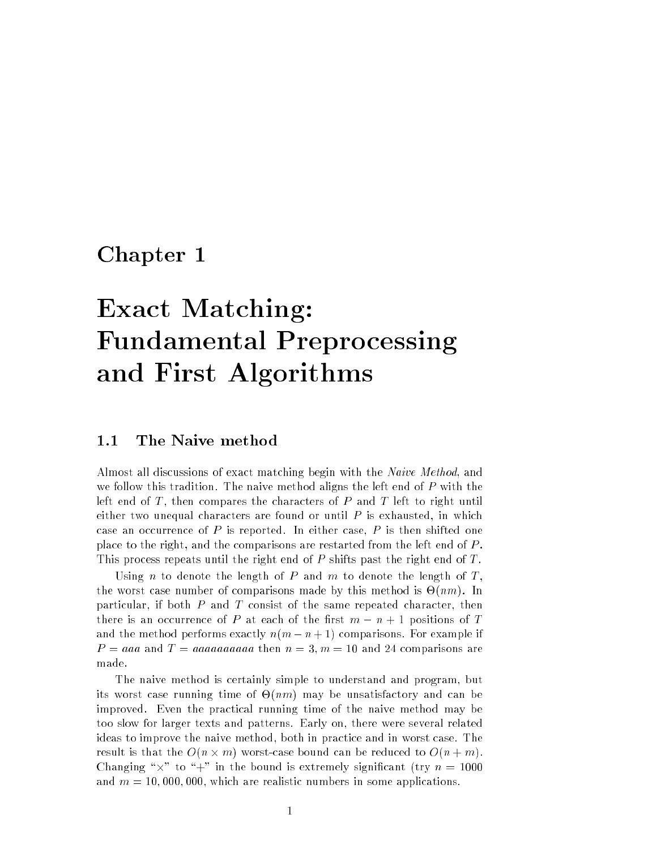## Chapter <sup>1</sup>

# Exact Matching: Fundamental Prepro
essing and First Algorithms

#### 1.1The Naive method

Almost all discussions of exact matching begin with the *Naive Method*, and we follow this tradition. The naive method aligns the left end of  $P$  with the left end of  $T$ , then compares the characters of  $P$  and  $T$  left to right until either two unequal characters are found or until  $P$  is exhausted, in which case an occurrence of  $P$  is reported. In either case,  $P$  is then shifted one place to the right, and the comparisons are restarted from the left end of P. This process repeats until the right end of  $P$  shifts past the right end of  $T$ .

Using  $n$  to denote the length of  $P$  and  $m$  to denote the length of  $T,$ the worst comparisons of the production is an output of the second interest  $\sim$  (i.e., ). The particular, if both  $P$  and  $T$  consist of the same repeated character, then there is an occurrence of P at each of the first  $m - n + 1$  positions of T and the method performs exactly  $n(m-n+1)$  comparisons. For example if  $P = aaa$  and  $T = aaaaaaaaaa$  then  $n = 3, m = 10$  and 24 comparisons are made.

The naive method is ertainly simple to understand and program, but its worst fine funning time of  $\circ$  (with an be understating) may be under improved. Even the practical running time of the naive method may be too slow for larger texts and patterns. Early on, there were several related ideas to improve the naive method, both in practice and in worst case. The result is that the O(n - m) worstase bound an be redu
ed to O(n + m). Changing \-" to \+" in the bound is extremely signi
ant (try <sup>n</sup> = 1000 and  $m = 10,000,000$ , which are realistic numbers in some applications.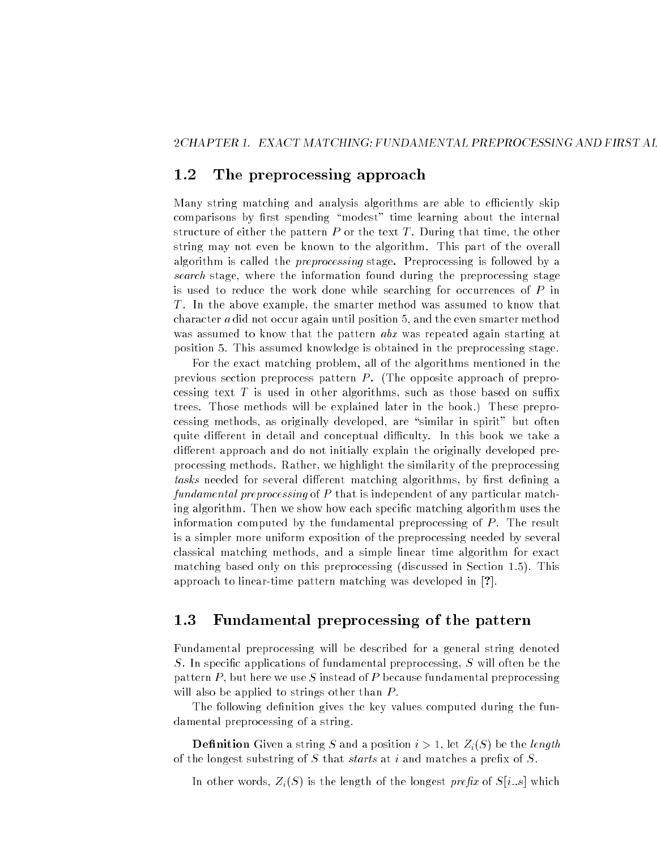#### 1.2The prepro
essing approa
h

Many string matching and analysis algorithms are able to efficiently skip comparisons by first spending "modest" time learning about the internal structure of either the pattern  $P$  or the text  $T$ . During that time, the other string may not even be known to the algorithm. This part of the overall algorithm is called the *preprocessing* stage. Preprocessing is followed by a search stage, where the information found during the preprocessing stage is used to reduce the work done while searching for occurrences of  $P$  in <sup>T</sup> . In the above example, the smarter method was assumed to know that character *a* did not occur again until position 5, and the even smarter method was assumed to know that the pattern *abx* was repeated again starting at position 5. This assumed knowledge is obtained in the preprocessing stage.

For the exact matching problem, all of the algorithms mentioned in the previous section preprocess pattern P. (The opposite approach of preprocessing text  $T$  is used in other algorithms, such as those based on suffix trees. Those methods will be explained later in the book.) These prepro essing methods, as originally developed, are \similar in spirit" but often quite different in detail and conceptual difficulty. In this book we take a different approach and do not initially explain the originally developed prepro
essing methods. Rather, we highlight the similarity of the prepro
essing tasks needed for several different matching algorithms, by first defining a fundamental preprocessing of P that is independent of any particular matching algorithm. Then we show how each specific matching algorithm uses the information computed by the fundamental preprocessing of  $P$ . The result is a simpler more uniform exposition of the prepro
essing needed by several classical matching methods, and a simple linear time algorithm for exact mat
hing based only on this prepro
essing (dis
ussed in Se
tion 1.5). This approach to linear-time pattern matching was developed in [?].

## Fundamental prepro
essing of the pattern

Fundamental prepro
essing will be des
ribed for a general string denoted S. In specific applications of fundamental preprocessing, S will often be the pattern  $P$ , but here we use  $S$  instead of  $P$  because fundamental preprocessing will also be applied to strings other than  $P$ .

The following definition gives the key values computed during the fundamental prepro
essing of a string.

**Definition** Given a string S and a position  $i > 1$ , let  $Z_i(S)$  be the *length* of the longest substring of S that starts at i and matches a prefix of  $S$ .

In other words,  $Z_i(S)$  is the length of the longest prefix of  $S[i..s]$  which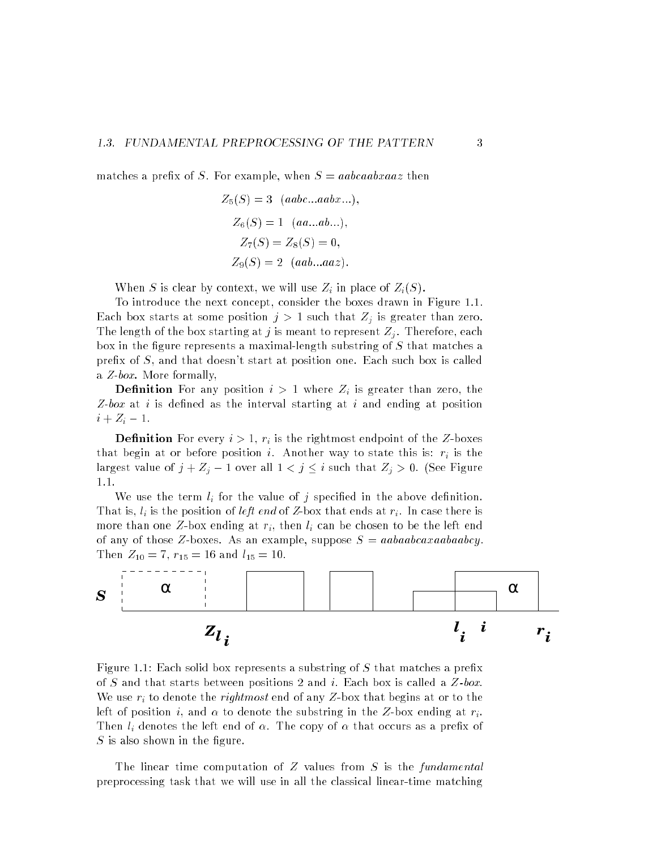matches a prefix of S. For example, when  $S = aabcaabxaaz$  then

$$
Z_5(S) = 3 \quad (aabc...aabx...),
$$
  
\n
$$
Z_6(S) = 1 \quad (aa...ab...),
$$
  
\n
$$
Z_7(S) = Z_8(S) = 0,
$$
  
\n
$$
Z_9(S) = 2 \quad (aab...aaz).
$$

When S is clear by context, we will use  $Z_i$  in place of  $Z_i(S)$ .

To introduce the next concept, consider the boxes drawn in Figure 1.1. Each box starts at some position  $j > 1$  such that  $Z_j$  is greater than zero. The length of the box starting at j is meant to represent  $Z_i$ . Therefore, each box in the figure represents a maximal-length substring of S that matches a prefix of  $S$ , and that doesn't start at position one. Each such box is called a Z-box. More formally,

**Definition** For any position  $i > 1$  where  $Z_i$  is greater than zero, the Z-box at i is defined as the interval starting at i and ending at position  $i + Z_i - 1.$ 

**Definition** For every  $i > 1$ ,  $r_i$  is the rightmost endpoint of the Z-boxes that begin at or before position i. Another way to state this is:  $r_i$  is the largest value of  $j + Z_j - 1$  over all  $1 < j \le i$  such that  $Z_j > 0$ . (See Figure 1.1.

We use the term  $l_i$  for the value of j specified in the above definition. That is, <sup>l</sup> <sup>i</sup> is the position of left end of Z-box that ends at ri. In 
ase there is more than one Z-box ending at ri, then <sup>l</sup> <sup>i</sup> an be hosen to be the left end of any of those Z-boxes. As an example, suppose  $S = aabaabcaxaabaabcy$ . Then  $Z_{10} = 7$ ,  $r_{15} = 16$  and  $l_{15} = 10$ .



Figure 1.1: Each solid box represents a substring of  $S$  that matches a prefix of S and that starts between positions 2 and i. Each box is called a  $Z$ -box. We use  $r_i$  to denote the *rightmost* end of any Z-box that begins at or to the left of position i, and  $\alpha$  to denote the substring in the Z-box ending at  $r_i$ . the state the left end of the left end of the left of the state of the state of the state of the state of the  $S$  is also shown in the figure.

The linear time computation of Z values from S is the fundamental prepro
essing task that we will use in all the 
lassi
al linear-time mat
hing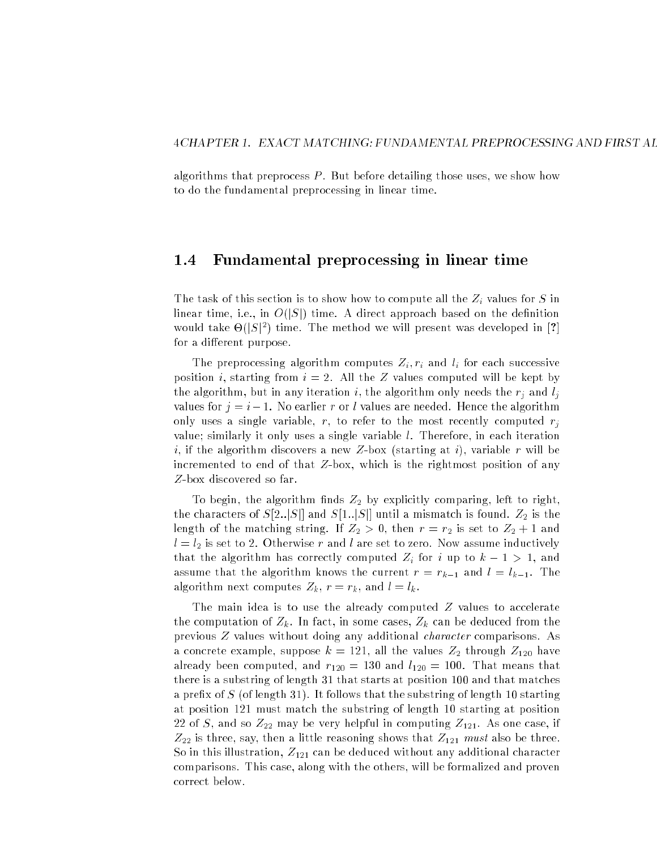algorithms that preprocess  $P$ . But before detailing those uses, we show how to do the fundamental prepro
essing in linear time.

#### 1.4Fundamental prepro
essing in linear time

The task of this section is to show how to compute all the  $Z_i$  values for S in linear time, i.e., in  $O(|S|)$  time. A direct approach based on the definition would take  $\Theta(|S|^{-})$  time. The method we will present was developed in  $|\cdot|$ for a different purpose.

The preprocessing algorithm computes  $Z_i, r_i$  and  $l_i$  for each successive position *i*, starting from  $i = 2$ . All the Z values computed will be kept by the algorithm, but in any iteration i, the algorithm only needs the rj and <sup>l</sup> <sup>j</sup> values for  $j = i - 1$ . No earlier r or l values are needed. Hence the algorithm only uses a single variable, r, to refer to the most recently computed  $r_i$ value; similarly it only uses a single variable *l*. Therefore, in each iteration i, if the algorithm discovers a new Z-box (starting at i), variable r will be incremented to end of that  $Z$ -box, which is the rightmost position of any Z-box discovered so far.

To begin, the algorithm finds  $Z_2$  by explicitly comparing, left to right, the characters of  $S[2..|S|]$  and  $S[1..|S|]$  until a mismatch is found.  $Z_2$  is the length of the matching string. If  $Z_2 > 0$ , then  $r = r_2$  is set to  $Z_2 + 1$  and  $l = l_2$  is set to 2. Otherwise r and l are set to zero. Now assume inductively that the algorithm has correctly computed  $Z_i$  for i up to  $k-1>1$ , and assume that the algorithm knows the current  $r = r_{k-1}$  and  $l = l_{k-1}$ . The algorithm next computes  $Z_k$ ,  $r = r_k$ , and  $l = l_k$ .

The main idea is to use the already computed  $Z$  values to accelerate the computation of  $Z_k$ . In fact, in some cases,  $Z_k$  can be deduced from the previous Z values without doing any additional *character* comparisons. As a concrete example, suppose  $k = 121$ , all the values  $Z_2$  through  $Z_{120}$  have already been computed, and  $r_{120} = 130$  and  $l_{120} = 100$ . That means that there is a substring of length 31 that starts at position 100 and that mat
hes a prefix of  $S$  (of length 31). It follows that the substring of length 10 starting at position 121 must mat
h the substring of length 10 starting at position 22 of S, and so  $Z_{22}$  may be very helpful in computing  $Z_{121}$ . As one case, if  $Z_{22}$  is three, say, then a little reasoning shows that  $Z_{121}$  must also be three. So in this illustration,  $Z_{121}$  can be deduced without any additional character omparisons. This 
ase, along with the others, will be formalized and proven orre
t below.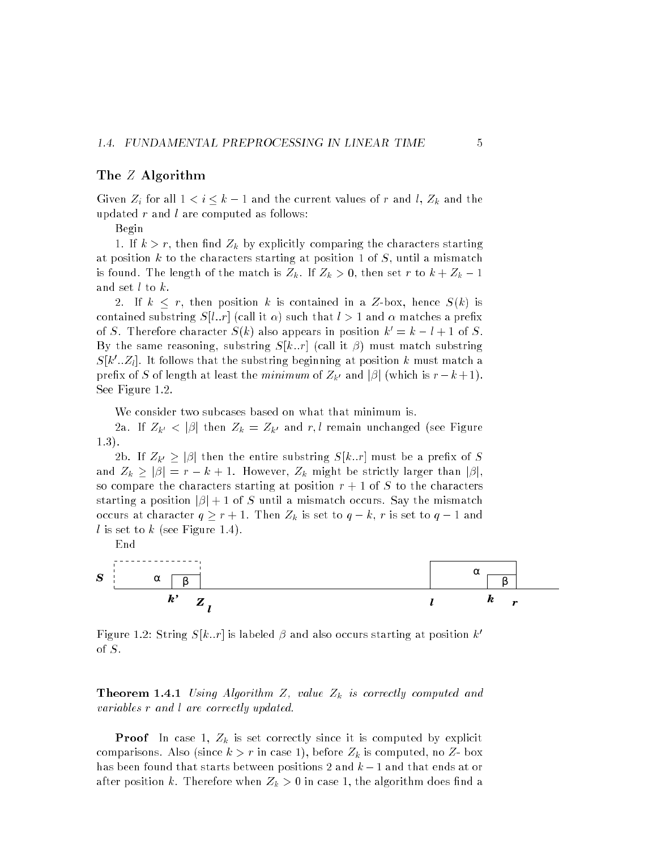### The <sup>Z</sup> Algorithm

Given  $Z_i$  for all  $1 < i \leq k-1$  and the current values of r and l,  $Z_k$  and the updated  $r$  and  $l$  are computed as follows:

Begin

1. If  $k > r$ , then find  $Z_k$  by explicitly comparing the characters starting at position  $k$  to the characters starting at position 1 of  $S$ , until a mismatch is found. The length of the match is  $Z_k$ . If  $Z_k > 0$ , then set r to  $k + Z_k - 1$ and set <sup>l</sup> to k.

2. If  $k \leq r$ , then position k is contained in a Z-box, hence  $S(k)$  is contained substring  $S[l..r]$  (call it  $\alpha$ ) such that  $l > 1$  and  $\alpha$  matches a prefix of S. Therefore character  $S(k)$  also appears in position  $k' = k - l + 1$  of S. By the same reasoning, substring  $S[k..r]$  (call it  $\beta$ ) must match substring  $S[k\mathinner{...} Z_l].$  It follows that the substring beginning at position  $k$  must match a prefix of S of length at least the minimum of  $Z_{k'}$  and  $|\beta|$  (which is  $r - k + 1$ ). See Figure 1.2.

We consider two subcases based on what that minimum is.

2a. If  $Z_{k'}\, < \,|\beta|$  then  $Z_k\, =\, Z_{k'}$  and  $r, l$  remain unchanged (see Figure 1.3).

2b. If  $Z_{k'} \geq |\beta|$  then the entire substring  $S[k..r]$  must be a prefix of S and  $Z_k \geq |\beta| = r - k + 1$ . However,  $Z_k$  might be strictly larger than  $|\beta|$ , so compare the characters starting at position  $r+1$  of  $S$  to the characters starting a position  $|\beta| + 1$  of S until a mismatch occurs. Say the mismatch occurs at character  $q \ge r+1$ . Then  $Z_k$  is set to  $q-k$ , r is set to  $q-1$  and l is set to k (see Figure 1.4).

End



Figure 1.2: String  $S[k..r]$  is labeled  $\beta$  and also occurs starting at position k' of S.

**Theorem 1.4.1** Using Algorithm Z, value  $Z_k$  is correctly computed and variables r and l are correctly updated.

**Proof** In case 1,  $Z_k$  is set correctly since it is computed by explicit comparisons. Also (since  $k > r$  in case 1), before  $Z_k$  is computed, no Z- box has been found that starts between positions 2 and  $k-1$  and that ends at or after position k. Therefore when  $Z_k > 0$  in case 1, the algorithm does find a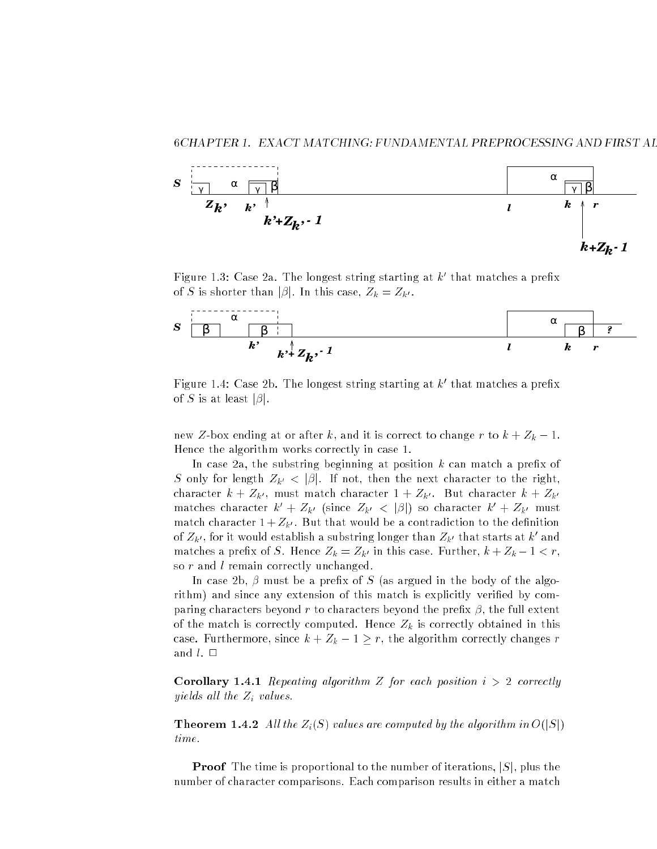

Figure 1.5: Case Za. The longest string starting at  $\kappa$  -that matches a prenx of S is shorter than  $|\beta|$ . In this case,  $Z_k = Z_{k'}$ .



Figure 1.4: Case zp. The longest string starting at  $\kappa^+$  that matches a prenx of S is at least  $|\beta|$ .

new Z-box ending at or after k, and it is correct to change r to  $k + Z_k - 1$ . Hence the algorithm works correctly in case 1.

In case 2a, the substring beginning at position  $k$  can match a prefix of S only for length  $Z_{k'} < |\beta|$ . If not, then the next character to the right, character  $k + Z_{k'}$ , must match character  $1 + Z_{k'}$ . But character  $k + Z_{k'}$ matches character  $k' + Z_{k'}$  (since  $Z_{k'} < |\beta|$ ) so character  $k' + Z_{k'}$  must match character  $1 + Z_{k'}$ . But that would be a contradiction to the definition of  $Z_{k^{\prime}}$ , for it would establish a substring longer than  $Z_{k^{\prime}}$  that starts at  $\kappa$  and matches a prefix of S. Hence  $Z_k = Z_{k'}$  in this case. Further,  $k + Z_k - 1 < r$ , so r and l remain correctly unchanged.

In case 2b,  $\beta$  must be a prefix of S (as argued in the body of the algorithm) and since any extension of this match is explicitly verified by comparing characters beyond r to characters beyond the prefix  $\beta$ , the full extent of the match is correctly computed. Hence  $Z_k$  is correctly obtained in this case. Furthermore, since  $k + Z_k - 1 \geq r$ , the algorithm correctly changes r and  $l$ .  $\Box$ 

**Corollary 1.4.1** Repeating algorithm Z for each position  $i > 2$  correctly yields all the  $Z_i$  values.

**Theorem 1.4.2** All the  $Z_i(S)$  values are computed by the algorithm in  $O(|S|)$ time.

**Proof** The time is proportional to the number of iterations,  $|S|$ , plus the number of character comparisons. Each comparison results in either a match